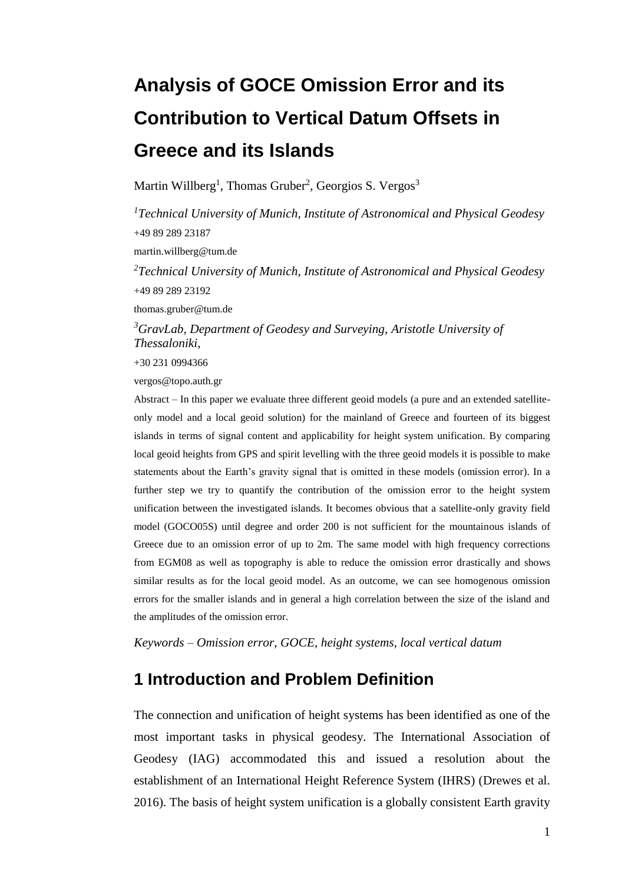# **Analysis of GOCE Omission Error and its Contribution to Vertical Datum Offsets in Greece and its Islands**

Martin Willberg<sup>1</sup>, Thomas Gruber<sup>2</sup>, Georgios S. Vergos<sup>3</sup>

*<sup>1</sup>Technical University of Munich, Institute of Astronomical and Physical Geodesy* +49 89 289 23187 martin.willberg@tum.de *<sup>2</sup>Technical University of Munich, Institute of Astronomical and Physical Geodesy* +49 89 289 23192 thomas.gruber@tum.de

*<sup>3</sup>GravLab, Department of Geodesy and Surveying, Aristotle University of Thessaloniki,* 

+30 231 0994366

vergos@topo.auth.gr

Abstract – In this paper we evaluate three different geoid models (a pure and an extended satelliteonly model and a local geoid solution) for the mainland of Greece and fourteen of its biggest islands in terms of signal content and applicability for height system unification. By comparing local geoid heights from GPS and spirit levelling with the three geoid models it is possible to make statements about the Earth's gravity signal that is omitted in these models (omission error). In a further step we try to quantify the contribution of the omission error to the height system unification between the investigated islands. It becomes obvious that a satellite-only gravity field model (GOCO05S) until degree and order 200 is not sufficient for the mountainous islands of Greece due to an omission error of up to 2m. The same model with high frequency corrections from EGM08 as well as topography is able to reduce the omission error drastically and shows similar results as for the local geoid model. As an outcome, we can see homogenous omission errors for the smaller islands and in general a high correlation between the size of the island and the amplitudes of the omission error.

*Keywords – Omission error, GOCE, height systems, local vertical datum*

# **1 Introduction and Problem Definition**

The connection and unification of height systems has been identified as one of the most important tasks in physical geodesy. The International Association of Geodesy (IAG) accommodated this and issued a resolution about the establishment of an International Height Reference System (IHRS) (Drewes et al. 2016). The basis of height system unification is a globally consistent Earth gravity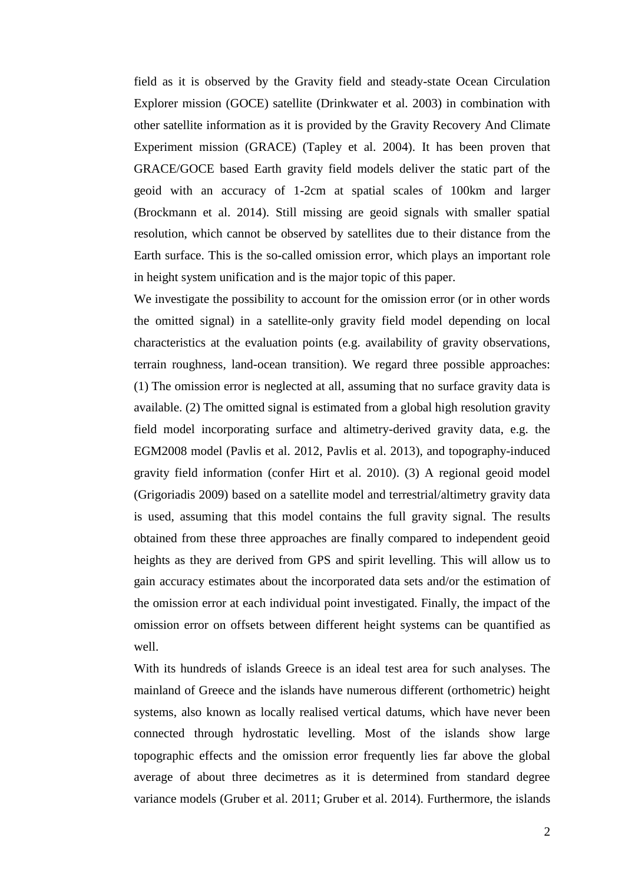field as it is observed by the Gravity field and steady-state Ocean Circulation Explorer mission (GOCE) satellite (Drinkwater et al. 2003) in combination with other satellite information as it is provided by the Gravity Recovery And Climate Experiment mission (GRACE) (Tapley et al. 2004). It has been proven that GRACE/GOCE based Earth gravity field models deliver the static part of the geoid with an accuracy of 1-2cm at spatial scales of 100km and larger (Brockmann et al. 2014). Still missing are geoid signals with smaller spatial resolution, which cannot be observed by satellites due to their distance from the Earth surface. This is the so-called omission error, which plays an important role in height system unification and is the major topic of this paper.

We investigate the possibility to account for the omission error (or in other words the omitted signal) in a satellite-only gravity field model depending on local characteristics at the evaluation points (e.g. availability of gravity observations, terrain roughness, land-ocean transition). We regard three possible approaches: (1) The omission error is neglected at all, assuming that no surface gravity data is available. (2) The omitted signal is estimated from a global high resolution gravity field model incorporating surface and altimetry-derived gravity data, e.g. the EGM2008 model (Pavlis et al. 2012, Pavlis et al. 2013), and topography-induced gravity field information (confer Hirt et al. 2010). (3) A regional geoid model (Grigoriadis 2009) based on a satellite model and terrestrial/altimetry gravity data is used, assuming that this model contains the full gravity signal. The results obtained from these three approaches are finally compared to independent geoid heights as they are derived from GPS and spirit levelling. This will allow us to gain accuracy estimates about the incorporated data sets and/or the estimation of the omission error at each individual point investigated. Finally, the impact of the omission error on offsets between different height systems can be quantified as well.

With its hundreds of islands Greece is an ideal test area for such analyses. The mainland of Greece and the islands have numerous different (orthometric) height systems, also known as locally realised vertical datums, which have never been connected through hydrostatic levelling. Most of the islands show large topographic effects and the omission error frequently lies far above the global average of about three decimetres as it is determined from standard degree variance models (Gruber et al. 2011; Gruber et al. 2014). Furthermore, the islands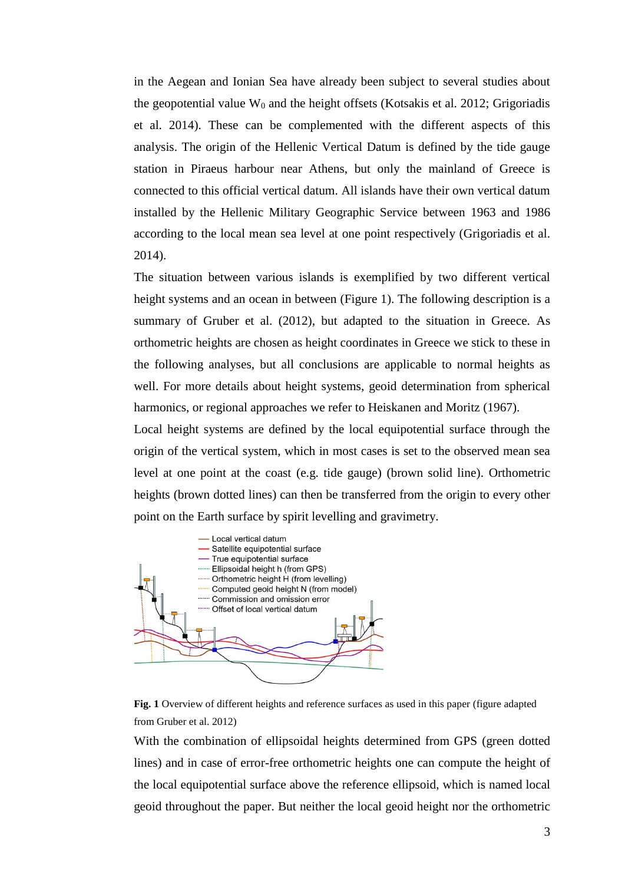in the Aegean and Ionian Sea have already been subject to several studies about the geopotential value  $W_0$  and the height offsets (Kotsakis et al. 2012; Grigoriadis et al. 2014). These can be complemented with the different aspects of this analysis. The origin of the Hellenic Vertical Datum is defined by the tide gauge station in Piraeus harbour near Athens, but only the mainland of Greece is connected to this official vertical datum. All islands have their own vertical datum installed by the Hellenic Military Geographic Service between 1963 and 1986 according to the local mean sea level at one point respectively (Grigoriadis et al. 2014).

The situation between various islands is exemplified by two different vertical height systems and an ocean in between (Figure 1). The following description is a summary of Gruber et al. (2012), but adapted to the situation in Greece. As orthometric heights are chosen as height coordinates in Greece we stick to these in the following analyses, but all conclusions are applicable to normal heights as well. For more details about height systems, geoid determination from spherical harmonics, or regional approaches we refer to Heiskanen and Moritz (1967).

Local height systems are defined by the local equipotential surface through the origin of the vertical system, which in most cases is set to the observed mean sea level at one point at the coast (e.g. tide gauge) (brown solid line). Orthometric heights (brown dotted lines) can then be transferred from the origin to every other point on the Earth surface by spirit levelling and gravimetry.



**Fig. 1** Overview of different heights and reference surfaces as used in this paper (figure adapted from Gruber et al. 2012)

With the combination of ellipsoidal heights determined from GPS (green dotted lines) and in case of error-free orthometric heights one can compute the height of the local equipotential surface above the reference ellipsoid, which is named local geoid throughout the paper. But neither the local geoid height nor the orthometric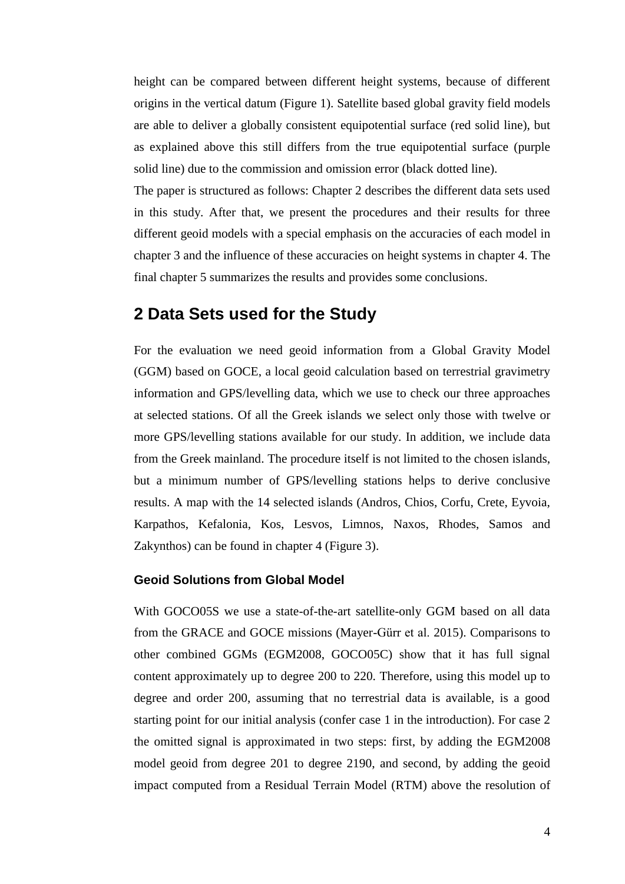height can be compared between different height systems, because of different origins in the vertical datum (Figure 1). Satellite based global gravity field models are able to deliver a globally consistent equipotential surface (red solid line), but as explained above this still differs from the true equipotential surface (purple solid line) due to the commission and omission error (black dotted line).

The paper is structured as follows: Chapter 2 describes the different data sets used in this study. After that, we present the procedures and their results for three different geoid models with a special emphasis on the accuracies of each model in chapter 3 and the influence of these accuracies on height systems in chapter 4. The final chapter 5 summarizes the results and provides some conclusions.

## **2 Data Sets used for the Study**

For the evaluation we need geoid information from a Global Gravity Model (GGM) based on GOCE, a local geoid calculation based on terrestrial gravimetry information and GPS/levelling data, which we use to check our three approaches at selected stations. Of all the Greek islands we select only those with twelve or more GPS/levelling stations available for our study. In addition, we include data from the Greek mainland. The procedure itself is not limited to the chosen islands, but a minimum number of GPS/levelling stations helps to derive conclusive results. A map with the 14 selected islands (Andros, Chios, Corfu, Crete, Eyvoia, Karpathos, Kefalonia, Kos, Lesvos, Limnos, Naxos, Rhodes, Samos and Zakynthos) can be found in chapter 4 (Figure 3).

#### **Geoid Solutions from Global Model**

With GOCO05S we use a state-of-the-art satellite-only GGM based on all data from the GRACE and GOCE missions (Mayer-Gürr et al. 2015). Comparisons to other combined GGMs (EGM2008, GOCO05C) show that it has full signal content approximately up to degree 200 to 220. Therefore, using this model up to degree and order 200, assuming that no terrestrial data is available, is a good starting point for our initial analysis (confer case 1 in the introduction). For case 2 the omitted signal is approximated in two steps: first, by adding the EGM2008 model geoid from degree 201 to degree 2190, and second, by adding the geoid impact computed from a Residual Terrain Model (RTM) above the resolution of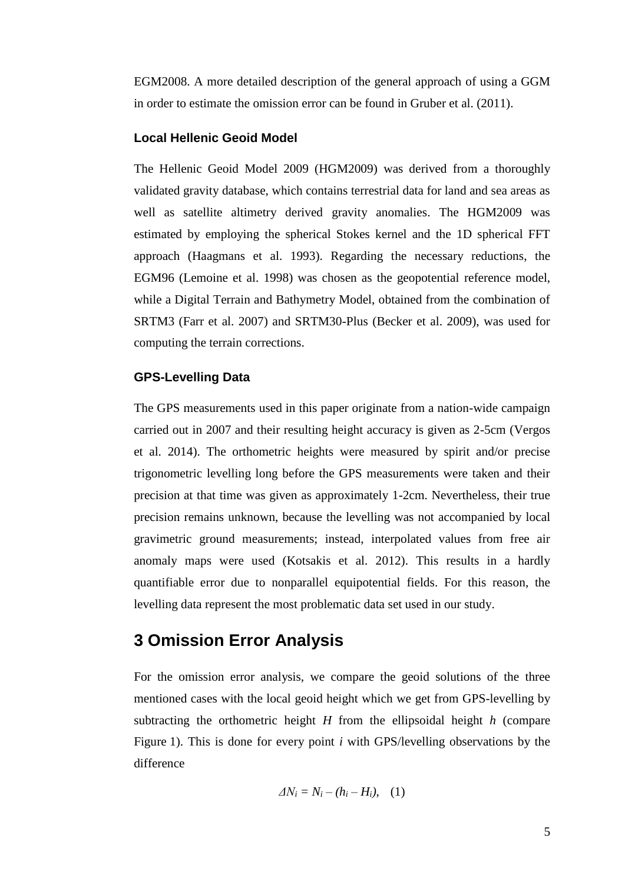EGM2008. A more detailed description of the general approach of using a GGM in order to estimate the omission error can be found in Gruber et al. (2011).

#### **Local Hellenic Geoid Model**

The Hellenic Geoid Model 2009 (HGM2009) was derived from a thoroughly validated gravity database, which contains terrestrial data for land and sea areas as well as satellite altimetry derived gravity anomalies. The HGM2009 was estimated by employing the spherical Stokes kernel and the 1D spherical FFT approach (Haagmans et al. 1993). Regarding the necessary reductions, the EGM96 (Lemoine et al. 1998) was chosen as the geopotential reference model, while a Digital Terrain and Bathymetry Model, obtained from the combination of SRTM3 (Farr et al. 2007) and SRTM30-Plus (Becker et al. 2009), was used for computing the terrain corrections.

#### **GPS-Levelling Data**

The GPS measurements used in this paper originate from a nation-wide campaign carried out in 2007 and their resulting height accuracy is given as 2-5cm (Vergos et al. 2014). The orthometric heights were measured by spirit and/or precise trigonometric levelling long before the GPS measurements were taken and their precision at that time was given as approximately 1-2cm. Nevertheless, their true precision remains unknown, because the levelling was not accompanied by local gravimetric ground measurements; instead, interpolated values from free air anomaly maps were used (Kotsakis et al. 2012). This results in a hardly quantifiable error due to nonparallel equipotential fields. For this reason, the levelling data represent the most problematic data set used in our study.

# **3 Omission Error Analysis**

For the omission error analysis, we compare the geoid solutions of the three mentioned cases with the local geoid height which we get from GPS-levelling by subtracting the orthometric height *H* from the ellipsoidal height *h* (compare Figure 1). This is done for every point *i* with GPS/levelling observations by the difference

$$
\Delta N_i = N_i - (h_i - H_i), \quad (1)
$$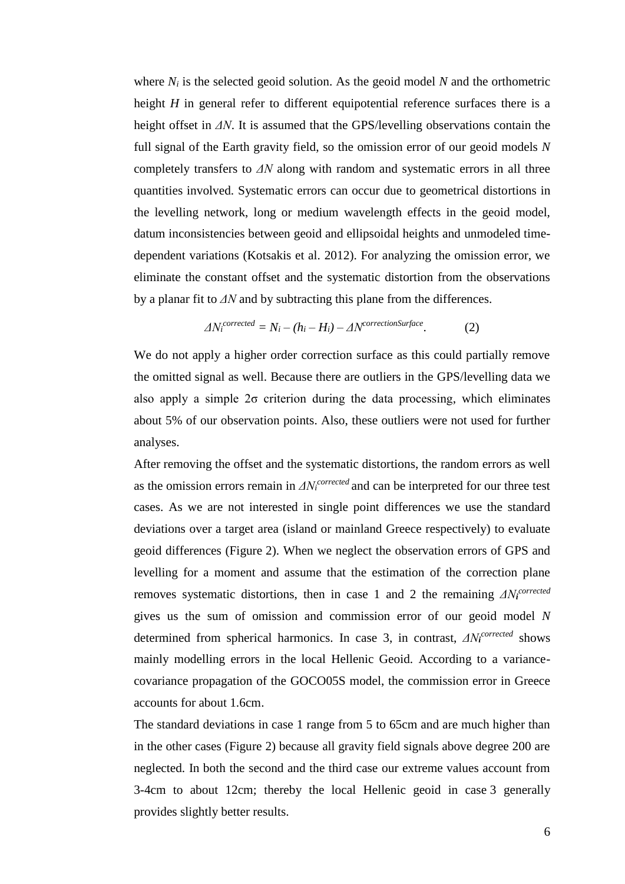where *N<sup>i</sup>* is the selected geoid solution. As the geoid model *N* and the orthometric height *H* in general refer to different equipotential reference surfaces there is a height offset in *ΔN*. It is assumed that the GPS/levelling observations contain the full signal of the Earth gravity field, so the omission error of our geoid models *N* completely transfers to *ΔN* along with random and systematic errors in all three quantities involved. Systematic errors can occur due to geometrical distortions in the levelling network, long or medium wavelength effects in the geoid model, datum inconsistencies between geoid and ellipsoidal heights and unmodeled timedependent variations (Kotsakis et al. 2012). For analyzing the omission error, we eliminate the constant offset and the systematic distortion from the observations by a planar fit to *ΔN* and by subtracting this plane from the differences.

$$
\Delta N_i^{corrected} = N_i - (h_i - H_i) - \Delta N^{correctionSurface}.
$$
 (2)

We do not apply a higher order correction surface as this could partially remove the omitted signal as well. Because there are outliers in the GPS/levelling data we also apply a simple  $2\sigma$  criterion during the data processing, which eliminates about 5% of our observation points. Also, these outliers were not used for further analyses.

After removing the offset and the systematic distortions, the random errors as well as the omission errors remain in  $\Delta N_i^{corrected}$  and can be interpreted for our three test cases. As we are not interested in single point differences we use the standard deviations over a target area (island or mainland Greece respectively) to evaluate geoid differences (Figure 2). When we neglect the observation errors of GPS and levelling for a moment and assume that the estimation of the correction plane removes systematic distortions, then in case 1 and 2 the remaining *ΔN<sup>i</sup> corrected* gives us the sum of omission and commission error of our geoid model *N* determined from spherical harmonics. In case 3, in contrast, *ΔN<sup>i</sup> corrected* shows mainly modelling errors in the local Hellenic Geoid. According to a variancecovariance propagation of the GOCO05S model, the commission error in Greece accounts for about 1.6cm.

The standard deviations in case 1 range from 5 to 65cm and are much higher than in the other cases (Figure 2) because all gravity field signals above degree 200 are neglected. In both the second and the third case our extreme values account from 3-4cm to about 12cm; thereby the local Hellenic geoid in case 3 generally provides slightly better results.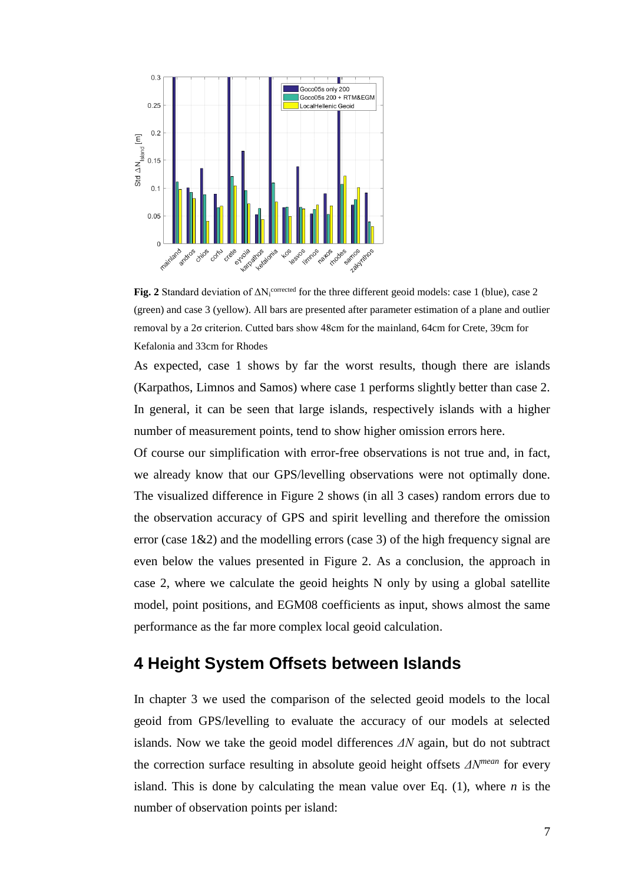

**Fig. 2** Standard deviation of  $\Delta N_i^{\text{corrected}}$  for the three different geoid models: case 1 (blue), case 2 (green) and case 3 (yellow). All bars are presented after parameter estimation of a plane and outlier removal by a 2σ criterion. Cutted bars show 48cm for the mainland, 64cm for Crete, 39cm for Kefalonia and 33cm for Rhodes

As expected, case 1 shows by far the worst results, though there are islands (Karpathos, Limnos and Samos) where case 1 performs slightly better than case 2. In general, it can be seen that large islands, respectively islands with a higher number of measurement points, tend to show higher omission errors here.

Of course our simplification with error-free observations is not true and, in fact, we already know that our GPS/levelling observations were not optimally done. The visualized difference in Figure 2 shows (in all 3 cases) random errors due to the observation accuracy of GPS and spirit levelling and therefore the omission error (case  $1\&2$ ) and the modelling errors (case 3) of the high frequency signal are even below the values presented in Figure 2. As a conclusion, the approach in case 2, where we calculate the geoid heights N only by using a global satellite model, point positions, and EGM08 coefficients as input, shows almost the same performance as the far more complex local geoid calculation.

# **4 Height System Offsets between Islands**

In chapter 3 we used the comparison of the selected geoid models to the local geoid from GPS/levelling to evaluate the accuracy of our models at selected islands. Now we take the geoid model differences *ΔN* again, but do not subtract the correction surface resulting in absolute geoid height offsets *ΔNmean* for every island. This is done by calculating the mean value over Eq. (1), where *n* is the number of observation points per island: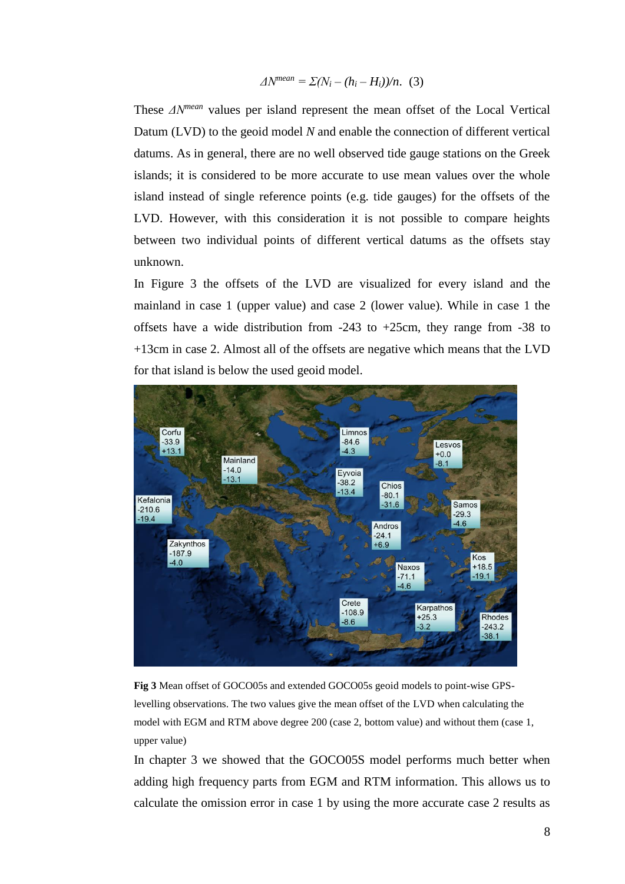$$
\Delta N^{mean} = \Sigma (N_i - (h_i - H_i))/n.
$$
 (3)

These *ΔNmean* values per island represent the mean offset of the Local Vertical Datum (LVD) to the geoid model *N* and enable the connection of different vertical datums. As in general, there are no well observed tide gauge stations on the Greek islands; it is considered to be more accurate to use mean values over the whole island instead of single reference points (e.g. tide gauges) for the offsets of the LVD. However, with this consideration it is not possible to compare heights between two individual points of different vertical datums as the offsets stay unknown.

In Figure 3 the offsets of the LVD are visualized for every island and the mainland in case 1 (upper value) and case 2 (lower value). While in case 1 the offsets have a wide distribution from  $-243$  to  $+25$ cm, they range from  $-38$  to +13cm in case 2. Almost all of the offsets are negative which means that the LVD for that island is below the used geoid model.



**Fig 3** Mean offset of GOCO05s and extended GOCO05s geoid models to point-wise GPSlevelling observations. The two values give the mean offset of the LVD when calculating the model with EGM and RTM above degree 200 (case 2, bottom value) and without them (case 1, upper value)

In chapter 3 we showed that the GOCO05S model performs much better when adding high frequency parts from EGM and RTM information. This allows us to calculate the omission error in case 1 by using the more accurate case 2 results as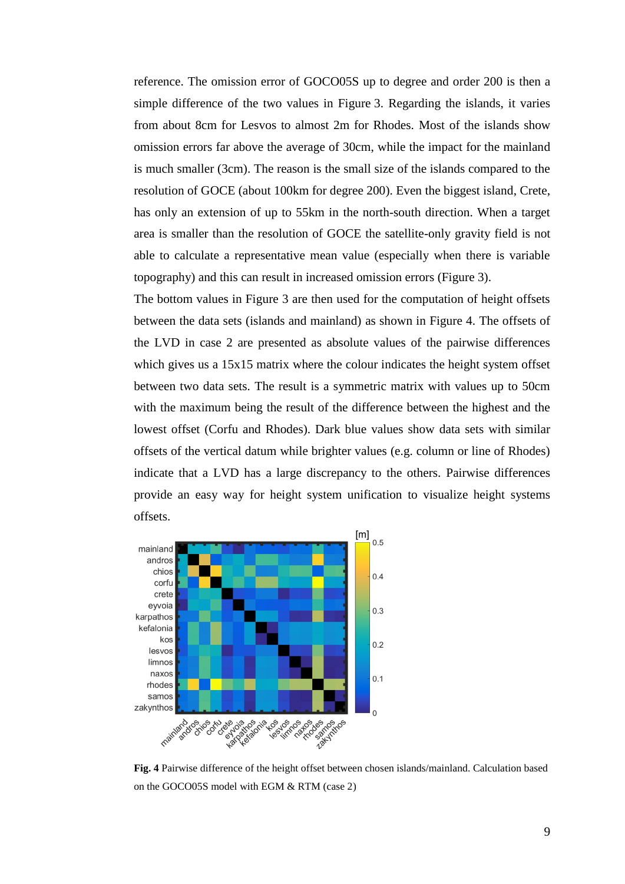reference. The omission error of GOCO05S up to degree and order 200 is then a simple difference of the two values in Figure 3. Regarding the islands, it varies from about 8cm for Lesvos to almost 2m for Rhodes. Most of the islands show omission errors far above the average of 30cm, while the impact for the mainland is much smaller (3cm). The reason is the small size of the islands compared to the resolution of GOCE (about 100km for degree 200). Even the biggest island, Crete, has only an extension of up to 55km in the north-south direction. When a target area is smaller than the resolution of GOCE the satellite-only gravity field is not able to calculate a representative mean value (especially when there is variable topography) and this can result in increased omission errors (Figure 3).

The bottom values in Figure 3 are then used for the computation of height offsets between the data sets (islands and mainland) as shown in Figure 4. The offsets of the LVD in case 2 are presented as absolute values of the pairwise differences which gives us a 15x15 matrix where the colour indicates the height system offset between two data sets. The result is a symmetric matrix with values up to 50cm with the maximum being the result of the difference between the highest and the lowest offset (Corfu and Rhodes). Dark blue values show data sets with similar offsets of the vertical datum while brighter values (e.g. column or line of Rhodes) indicate that a LVD has a large discrepancy to the others. Pairwise differences provide an easy way for height system unification to visualize height systems offsets.



**Fig. 4** Pairwise difference of the height offset between chosen islands/mainland. Calculation based on the GOCO05S model with EGM & RTM (case 2)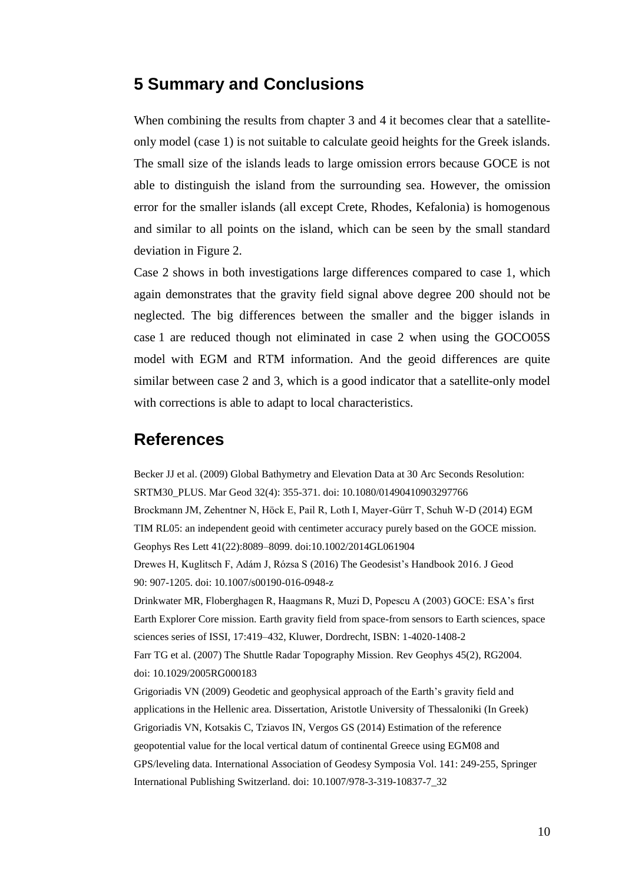## **5 Summary and Conclusions**

When combining the results from chapter 3 and 4 it becomes clear that a satelliteonly model (case 1) is not suitable to calculate geoid heights for the Greek islands. The small size of the islands leads to large omission errors because GOCE is not able to distinguish the island from the surrounding sea. However, the omission error for the smaller islands (all except Crete, Rhodes, Kefalonia) is homogenous and similar to all points on the island, which can be seen by the small standard deviation in Figure 2.

Case 2 shows in both investigations large differences compared to case 1, which again demonstrates that the gravity field signal above degree 200 should not be neglected. The big differences between the smaller and the bigger islands in case 1 are reduced though not eliminated in case 2 when using the GOCO05S model with EGM and RTM information. And the geoid differences are quite similar between case 2 and 3, which is a good indicator that a satellite-only model with corrections is able to adapt to local characteristics.

### **References**

Becker JJ et al. (2009) Global Bathymetry and Elevation Data at 30 Arc Seconds Resolution: SRTM30\_PLUS. Mar Geod 32(4): 355-371. doi: 10.1080/01490410903297766 Brockmann JM, Zehentner N, Höck E, Pail R, Loth I, Mayer-Gürr T, Schuh W-D (2014) EGM TIM RL05: an independent geoid with centimeter accuracy purely based on the GOCE mission. Geophys Res Lett 41(22):8089–8099. doi:10.1002/2014GL061904 Drewes H, Kuglitsch F, Adám J, Rózsa S (2016) The Geodesist's Handbook 2016. J Geod 90: 907-1205. doi: 10.1007/s00190-016-0948-z Drinkwater MR, Floberghagen R, Haagmans R, Muzi D, Popescu A (2003) GOCE: ESA's first Earth Explorer Core mission. Earth gravity field from space-from sensors to Earth sciences, space sciences series of ISSI, 17:419–432, Kluwer, Dordrecht, ISBN: 1-4020-1408-2 Farr TG et al. (2007) The Shuttle Radar Topography Mission. Rev Geophys 45(2), RG2004. doi: 10.1029/2005RG000183 Grigoriadis VN (2009) Geodetic and geophysical approach of the Earth's gravity field and applications in the Hellenic area. Dissertation, Aristotle University of Thessaloniki (In Greek) Grigoriadis VN, Kotsakis C, Tziavos IN, Vergos GS (2014) Estimation of the reference geopotential value for the local vertical datum of continental Greece using EGM08 and GPS/leveling data. International Association of Geodesy Symposia Vol. 141: 249-255, Springer International Publishing Switzerland. doi: 10.1007/978-3-319-10837-7\_32